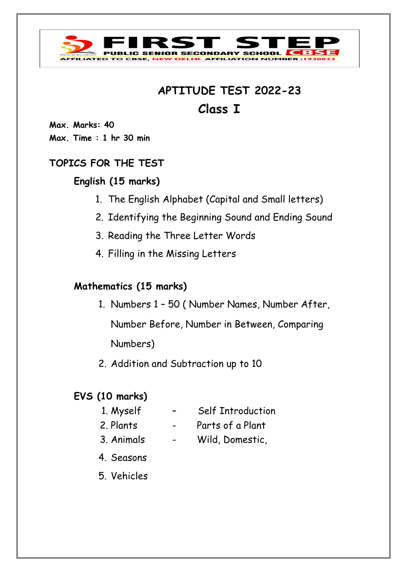

# **APTITUDE TEST 2022-23 Class I**

**Max. Marks: 40 Max. Time : 1 hr 30 min**

### **TOPICS FOR THE TEST**

## **English (15 marks)**

- 1. The English Alphabet (Capital and Small letters)
- 2. Identifying the Beginning Sound and Ending Sound
- 3. Reading the Three Letter Words
- 4. Filling in the Missing Letters

## **Mathematics (15 marks)**

- 1. Numbers 1 50 ( Number Names, Number After, Number Before, Number in Between, Comparing Numbers)
- 2. Addition and Subtraction up to 10

# **EVS (10 marks)**

- 
- 1. Myself Self Introduction
- 
- 2. Plants Parts of a Plant
- 
- 3. Animals Wild, Domestic,
- 4. Seasons
- 5. Vehicles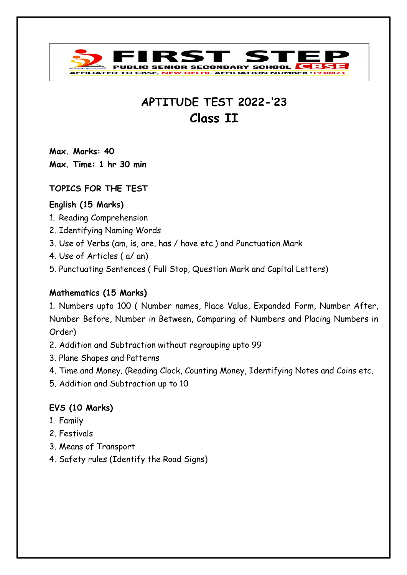

# **APTITUDE TEST 2022-'23 Class II**

**Max. Marks: 40 Max. Time: 1 hr 30 min**

#### **TOPICS FOR THE TEST**

#### **English (15 Marks)**

- 1. Reading Comprehension
- 2. Identifying Naming Words
- 3. Use of Verbs (am, is, are, has / have etc.) and Punctuation Mark
- 4. Use of Articles ( a/ an)
- 5. Punctuating Sentences ( Full Stop, Question Mark and Capital Letters)

#### **Mathematics (15 Marks)**

1. Numbers upto 100 ( Number names, Place Value, Expanded Form, Number After, Number Before, Number in Between, Comparing of Numbers and Placing Numbers in Order)

- 2. Addition and Subtraction without regrouping upto 99
- 3. Plane Shapes and Patterns
- 4. Time and Money. (Reading Clock, Counting Money, Identifying Notes and Coins etc.
- 5. Addition and Subtraction up to 10

#### **EVS (10 Marks)**

- 1. Family
- 2. Festivals
- 3. Means of Transport
- 4. Safety rules (Identify the Road Signs)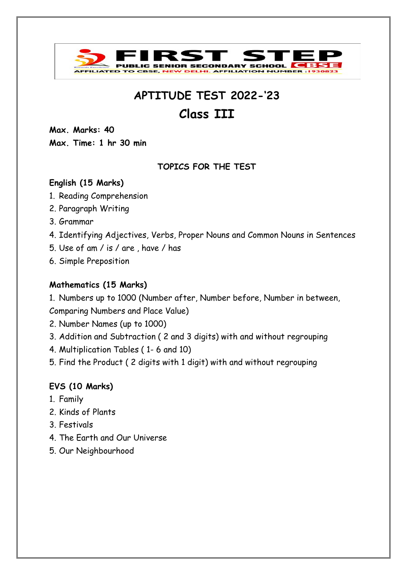

# **Class III**

**Max. Marks: 40 Max. Time: 1 hr 30 min**

### **TOPICS FOR THE TEST**

### **English (15 Marks)**

- 1. Reading Comprehension
- 2. Paragraph Writing
- 3. Grammar
- 4. Identifying Adjectives, Verbs, Proper Nouns and Common Nouns in Sentences
- 5. Use of am / is / are , have / has
- 6. Simple Preposition

#### **Mathematics (15 Marks)**

1. Numbers up to 1000 (Number after, Number before, Number in between,

Comparing Numbers and Place Value)

- 2. Number Names (up to 1000)
- 3. Addition and Subtraction ( 2 and 3 digits) with and without regrouping
- 4. Multiplication Tables ( 1- 6 and 10)
- 5. Find the Product ( 2 digits with 1 digit) with and without regrouping

### **EVS (10 Marks)**

- 1. Family
- 2. Kinds of Plants
- 3. Festivals
- 4. The Earth and Our Universe
- 5. Our Neighbourhood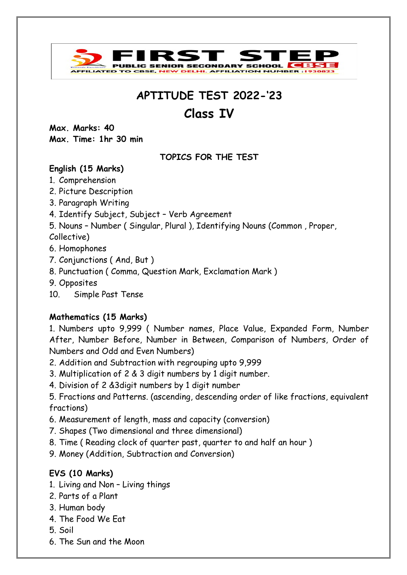

# **Class IV**

**Max. Marks: 40 Max. Time: 1hr 30 min**

#### **TOPICS FOR THE TEST**

### **English (15 Marks)**

- 1. Comprehension
- 2. Picture Description
- 3. Paragraph Writing
- 4. Identify Subject, Subject Verb Agreement
- 5. Nouns Number ( Singular, Plural ), Identifying Nouns (Common , Proper,

Collective)

- 6. Homophones
- 7. Conjunctions ( And, But )
- 8. Punctuation ( Comma, Question Mark, Exclamation Mark )
- 9. Opposites
- 10. Simple Past Tense

### **Mathematics (15 Marks)**

1. Numbers upto 9,999 ( Number names, Place Value, Expanded Form, Number After, Number Before, Number in Between, Comparison of Numbers, Order of Numbers and Odd and Even Numbers)

- 2. Addition and Subtraction with regrouping upto 9,999
- 3. Multiplication of 2 & 3 digit numbers by 1 digit number.
- 4. Division of 2 &3digit numbers by 1 digit number
- 5. Fractions and Patterns. (ascending, descending order of like fractions, equivalent fractions)
- 6. Measurement of length, mass and capacity (conversion)
- 7. Shapes (Two dimensional and three dimensional)
- 8. Time ( Reading clock of quarter past, quarter to and half an hour )
- 9. Money (Addition, Subtraction and Conversion)

### **EVS (10 Marks)**

- 1. Living and Non Living things
- 2. Parts of a Plant
- 3. Human body
- 4. The Food We Eat
- 5. Soil
- 6. The Sun and the Moon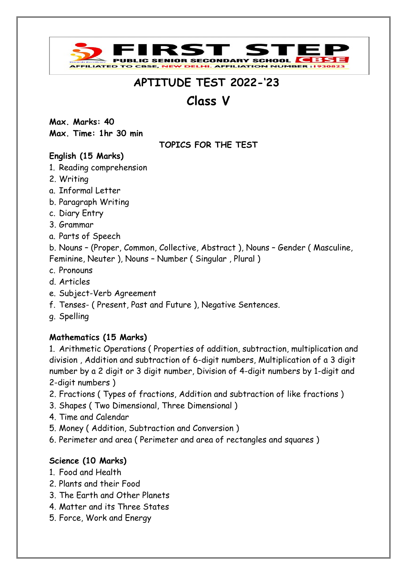

# **Class V**

**Max. Marks: 40 Max. Time: 1hr 30 min**

**TOPICS FOR THE TEST**

### **English (15 Marks)**

- 1. Reading comprehension
- 2. Writing
- a. Informal Letter
- b. Paragraph Writing
- c. Diary Entry
- 3. Grammar
- a. Parts of Speech

b. Nouns – (Proper, Common, Collective, Abstract ), Nouns – Gender ( Masculine, Feminine, Neuter ), Nouns – Number ( Singular , Plural )

- c. Pronouns
- d. Articles
- e. Subject-Verb Agreement
- f. Tenses- ( Present, Past and Future ), Negative Sentences.
- g. Spelling

### **Mathematics (15 Marks)**

1. Arithmetic Operations ( Properties of addition, subtraction, multiplication and division , Addition and subtraction of 6-digit numbers, Multiplication of a 3 digit number by a 2 digit or 3 digit number, Division of 4-digit numbers by 1-digit and 2-digit numbers )

- 2. Fractions ( Types of fractions, Addition and subtraction of like fractions )
- 3. Shapes ( Two Dimensional, Three Dimensional )
- 4. Time and Calendar
- 5. Money ( Addition, Subtraction and Conversion )
- 6. Perimeter and area ( Perimeter and area of rectangles and squares )

### **Science (10 Marks)**

- 1. Food and Health
- 2. Plants and their Food
- 3. The Earth and Other Planets
- 4. Matter and its Three States
- 5. Force, Work and Energy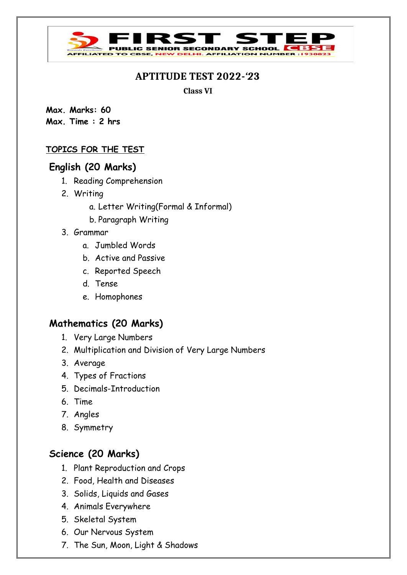**IC SENIOR SECONDARY SCHOOL** 

**AFFILIATION NUM** 

**Class VI**

**Max. Marks: 60 Max. Time : 2 hrs**

#### **TOPICS FOR THE TEST**

**ILIATED TO** 

#### **English (20 Marks)**

- 1. Reading Comprehension
- 2. Writing
	- a. Letter Writing(Formal & Informal)
	- b. Paragraph Writing
- 3. Grammar
	- a. Jumbled Words
	- b. Active and Passive
	- c. Reported Speech
	- d. Tense
	- e. Homophones

### **Mathematics (20 Marks)**

- 1. Very Large Numbers
- 2. Multiplication and Division of Very Large Numbers
- 3. Average
- 4. Types of Fractions
- 5. Decimals-Introduction
- 6. Time
- 7. Angles
- 8. Symmetry

### **Science (20 Marks)**

- 1. Plant Reproduction and Crops
- 2. Food, Health and Diseases
- 3. Solids, Liquids and Gases
- 4. Animals Everywhere
- 5. Skeletal System
- 6. Our Nervous System
- 7. The Sun, Moon, Light & Shadows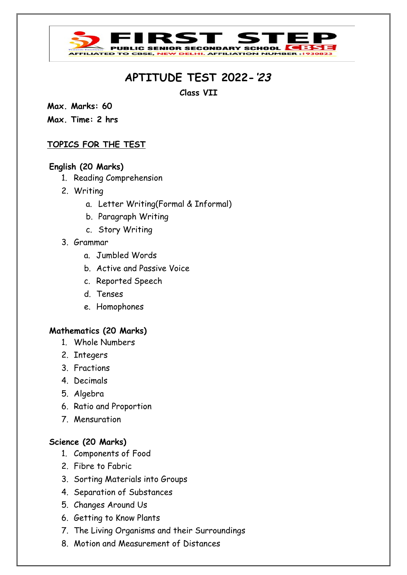#### **C SENIOR SECONDARY SCHOOL** ELHI. AFFILIATION NUMI **LIATED** 1

# **APTITUDE TEST 2022-'23**

**Class VII**

**Max. Marks: 60**

**Max. Time: 2 hrs**

#### **TOPICS FOR THE TEST**

#### **English (20 Marks)**

- 1. Reading Comprehension
- 2. Writing
	- a. Letter Writing(Formal & Informal)
	- b. Paragraph Writing
	- c. Story Writing
- 3. Grammar
	- a. Jumbled Words
	- b. Active and Passive Voice
	- c. Reported Speech
	- d. Tenses
	- e. Homophones

#### **Mathematics (20 Marks)**

- 1. Whole Numbers
- 2. Integers
- 3. Fractions
- 4. Decimals
- 5. Algebra
- 6. Ratio and Proportion
- 7. Mensuration

#### **Science (20 Marks)**

- 1. Components of Food
- 2. Fibre to Fabric
- 3. Sorting Materials into Groups
- 4. Separation of Substances
- 5. Changes Around Us
- 6. Getting to Know Plants
- 7. The Living Organisms and their Surroundings
- 8. Motion and Measurement of Distances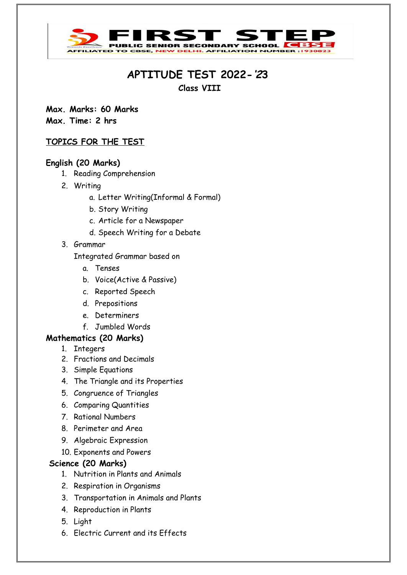#### **IC SENIOR SECONDA IY SCHOOL AFFILIATED TO CBSE, NEW DELHI. AFFILIATION NUMBER : 193082**

# **APTITUDE TEST 2022-'23**

**Class VIII**

**Max. Marks: 60 Marks Max. Time: 2 hrs**

#### **TOPICS FOR THE TEST**

#### **English (20 Marks)**

- 1. Reading Comprehension
- 2. Writing
	- a. Letter Writing(Informal & Formal)
	- b. Story Writing
	- c. Article for a Newspaper
	- d. Speech Writing for a Debate
- 3. Grammar

Integrated Grammar based on

- a. Tenses
- b. Voice(Active & Passive)
- c. Reported Speech
- d. Prepositions
- e. Determiners
- f. Jumbled Words

#### **Mathematics (20 Marks)**

- 1. Integers
- 2. Fractions and Decimals
- 3. Simple Equations
- 4. The Triangle and its Properties
- 5. Congruence of Triangles
- 6. Comparing Quantities
- 7. Rational Numbers
- 8. Perimeter and Area
- 9. Algebraic Expression
- 10. Exponents and Powers

#### **Science (20 Marks)**

- 1. Nutrition in Plants and Animals
- 2. Respiration in Organisms
- 3. Transportation in Animals and Plants
- 4. Reproduction in Plants
- 5. Light
- 6. Electric Current and its Effects